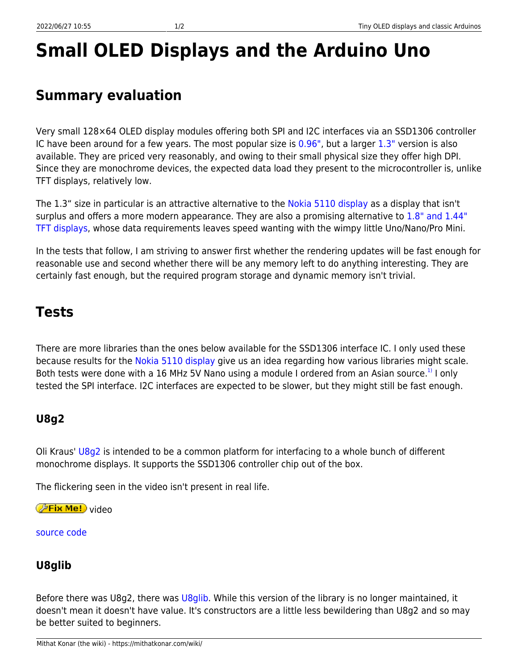# **Small OLED Displays and the Arduino Uno**

## **Summary evaluation**

Very small 128×64 OLED display modules offering both SPI and I2C interfaces via an SSD1306 controller IC have been around for a few years. The most popular size is  $0.96$ ", but a larger  $1.3$ " version is also available. They are priced very reasonably, and owing to their small physical size they offer high DPI. Since they are monochrome devices, the expected data load they present to the microcontroller is, unlike TFT displays, relatively low.

The 1.3" size in particular is an attractive alternative to the [Nokia 5110 display](https://mithatkonar.com/wiki/doku.php/arduino/displays_for_classic_arduinos/nokia_5110_displays_and_classic_arduinos) as a display that isn't surplus and offers a more modern appearance. They are also a promising alternative to [1.8" and 1.44"](https://mithatkonar.com/wiki/doku.php/arduino/displays_for_classic_arduinos/1.8_and_1.44_tft_displays_and_classic_arduinos) [TFT displays,](https://mithatkonar.com/wiki/doku.php/arduino/displays_for_classic_arduinos/1.8_and_1.44_tft_displays_and_classic_arduinos) whose data requirements leaves speed wanting with the wimpy little Uno/Nano/Pro Mini.

In the tests that follow, I am striving to answer first whether the rendering updates will be fast enough for reasonable use and second whether there will be any memory left to do anything interesting. They are certainly fast enough, but the required program storage and dynamic memory isn't trivial.

## **Tests**

There are more libraries than the ones below available for the SSD1306 interface IC. I only used these because results for the [Nokia 5110 display](https://mithatkonar.com/wiki/doku.php/arduino/displays_for_classic_arduinos/nokia_5110_displays_and_classic_arduinos) give us an idea regarding how various libraries might scale. Both tests were done with a 16 MHz 5V Nano using a module I ordered from an Asian source.<sup>[1\)](#page--1-0)</sup> I only tested the SPI interface. I2C interfaces are expected to be slower, but they might still be fast enough.

### **U8g2**

Oli Kraus' [U8g2](https://github.com/olikraus/u8g2/wiki) is intended to be a common platform for interfacing to a whole bunch of different monochrome displays. It supports the SSD1306 controller chip out of the box.

The flickering seen in the video isn't present in real life.

*PFix Me!* video

[source code](https://mithatkonar.com/wiki/doku.php/arduino/displays_for_classic_arduinos/display_ssd1306_oled_u8g2.ino)

#### **U8glib**

Before there was U8g2, there was [U8glib](https://github.com/olikraus/u8glib/wiki). While this version of the library is no longer maintained, it doesn't mean it doesn't have value. It's constructors are a little less bewildering than U8g2 and so may be better suited to beginners.